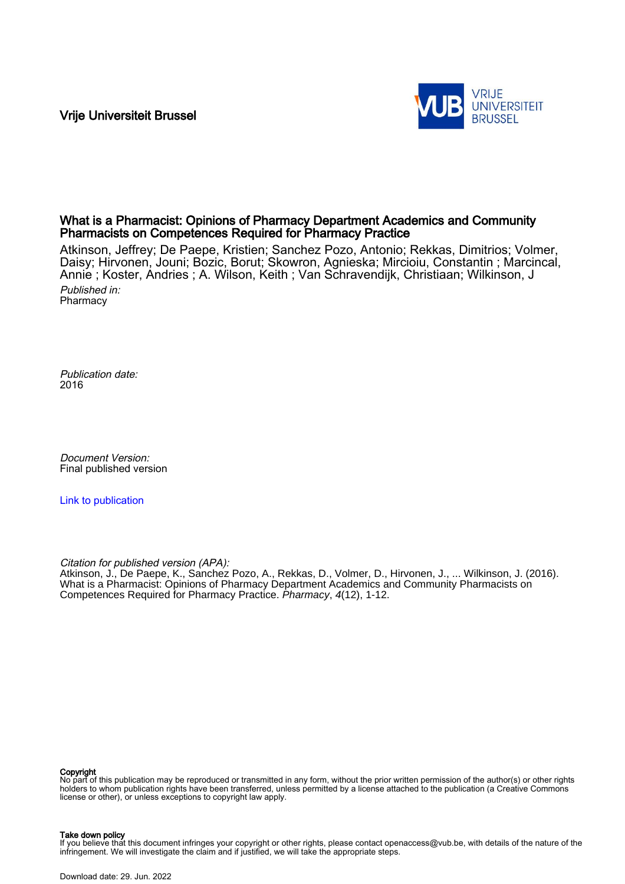Vrije Universiteit Brussel



## What is a Pharmacist: Opinions of Pharmacy Department Academics and Community Pharmacists on Competences Required for Pharmacy Practice

Atkinson, Jeffrey; De Paepe, Kristien; Sanchez Pozo, Antonio; Rekkas, Dimitrios; Volmer, Daisy; Hirvonen, Jouni; Bozic, Borut; Skowron, Agnieska; Mircioiu, Constantin ; Marcincal, Annie ; Koster, Andries ; A. Wilson, Keith ; Van Schravendijk, Christiaan; Wilkinson, J Published in:

**Pharmacy** 

Publication date: 2016

Document Version: Final published version

[Link to publication](https://researchportal.vub.be/en/publications/8faa4a5a-f3f5-41a2-ae80-45ba2c2a6fe5)

Citation for published version (APA):

Atkinson, J., De Paepe, K., Sanchez Pozo, A., Rekkas, D., Volmer, D., Hirvonen, J., ... Wilkinson, J. (2016). What is a Pharmacist: Opinions of Pharmacy Department Academics and Community Pharmacists on Competences Required for Pharmacy Practice. Pharmacy, 4(12), 1-12.

#### Copyright

No part of this publication may be reproduced or transmitted in any form, without the prior written permission of the author(s) or other rights holders to whom publication rights have been transferred, unless permitted by a license attached to the publication (a Creative Commons license or other), or unless exceptions to copyright law apply.

#### Take down policy

lf you believe that this document infringes your copyright or other rights, please contact openaccess@vub.be, with details of the nature of the<br>infringement. We will investigate the claim and if justified, we will take the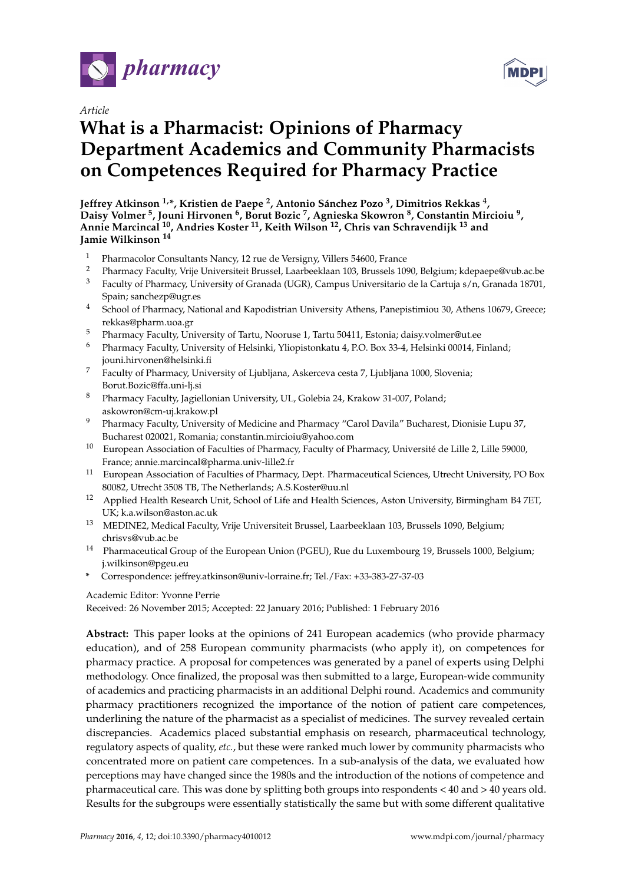

*Article*

# **What is a Pharmacist: Opinions of Pharmacy Department Academics and Community Pharmacists on Competences Required for Pharmacy Practice**

**Jeffrey Atkinson 1,\*, Kristien de Paepe <sup>2</sup> , Antonio Sánchez Pozo <sup>3</sup> , Dimitrios Rekkas <sup>4</sup> , Daisy Volmer <sup>5</sup> , Jouni Hirvonen <sup>6</sup> , Borut Bozic <sup>7</sup> , Agnieska Skowron <sup>8</sup> , Constantin Mircioiu <sup>9</sup> , Annie Marcincal <sup>10</sup>, Andries Koster <sup>11</sup>, Keith Wilson <sup>12</sup>, Chris van Schravendijk <sup>13</sup> and Jamie Wilkinson <sup>14</sup>**

- <sup>1</sup> Pharmacolor Consultants Nancy, 12 rue de Versigny, Villers 54600, France
- <sup>2</sup> Pharmacy Faculty, Vrije Universiteit Brussel, Laarbeeklaan 103, Brussels 1090, Belgium; kdepaepe@vub.ac.be<br><sup>3</sup> Eaculty of Pharmacy University of Granada (UGR), Campus Universitario de la Cartuja s/n. Granada 18701 <sup>3</sup> Faculty of Pharmacy, University of Granada (UGR), Campus Universitario de la Cartuja s/n, Granada 18701, Spain; sanchezp@ugr.es
- <sup>4</sup> School of Pharmacy, National and Kapodistrian University Athens, Panepistimiou 30, Athens 10679, Greece; rekkas@pharm.uoa.gr
- <sup>5</sup> Pharmacy Faculty, University of Tartu, Nooruse 1, Tartu 50411, Estonia; daisy.volmer@ut.ee
- <sup>6</sup> Pharmacy Faculty, University of Helsinki, Yliopistonkatu 4, P.O. Box 33-4, Helsinki 00014, Finland; jouni.hirvonen@helsinki.fi
- <sup>7</sup> Faculty of Pharmacy, University of Ljubljana, Askerceva cesta 7, Ljubljana 1000, Slovenia; Borut.Bozic@ffa.uni-lj.si
- <sup>8</sup> Pharmacy Faculty, Jagiellonian University, UL, Golebia 24, Krakow 31-007, Poland; askowron@cm-uj.krakow.pl
- <sup>9</sup> Pharmacy Faculty, University of Medicine and Pharmacy "Carol Davila" Bucharest, Dionisie Lupu 37, Bucharest 020021, Romania; constantin.mircioiu@yahoo.com
- <sup>10</sup> European Association of Faculties of Pharmacy, Faculty of Pharmacy, Université de Lille 2, Lille 59000, France; annie.marcincal@pharma.univ-lille2.fr
- <sup>11</sup> European Association of Faculties of Pharmacy, Dept. Pharmaceutical Sciences, Utrecht University, PO Box 80082, Utrecht 3508 TB, The Netherlands; A.S.Koster@uu.nl
- <sup>12</sup> Applied Health Research Unit, School of Life and Health Sciences, Aston University, Birmingham B4 7ET, UK; k.a.wilson@aston.ac.uk
- <sup>13</sup> MEDINE2, Medical Faculty, Vrije Universiteit Brussel, Laarbeeklaan 103, Brussels 1090, Belgium; chrisvs@vub.ac.be
- <sup>14</sup> Pharmaceutical Group of the European Union (PGEU), Rue du Luxembourg 19, Brussels 1000, Belgium; j.wilkinson@pgeu.eu
- **\*** Correspondence: jeffrey.atkinson@univ-lorraine.fr; Tel./Fax: +33-383-27-37-03

## Academic Editor: Yvonne Perrie

Received: 26 November 2015; Accepted: 22 January 2016; Published: 1 February 2016

**Abstract:** This paper looks at the opinions of 241 European academics (who provide pharmacy education), and of 258 European community pharmacists (who apply it), on competences for pharmacy practice. A proposal for competences was generated by a panel of experts using Delphi methodology. Once finalized, the proposal was then submitted to a large, European-wide community of academics and practicing pharmacists in an additional Delphi round. Academics and community pharmacy practitioners recognized the importance of the notion of patient care competences, underlining the nature of the pharmacist as a specialist of medicines. The survey revealed certain discrepancies. Academics placed substantial emphasis on research, pharmaceutical technology, regulatory aspects of quality, *etc.*, but these were ranked much lower by community pharmacists who concentrated more on patient care competences. In a sub-analysis of the data, we evaluated how perceptions may have changed since the 1980s and the introduction of the notions of competence and pharmaceutical care. This was done by splitting both groups into respondents < 40 and > 40 years old. Results for the subgroups were essentially statistically the same but with some different qualitative

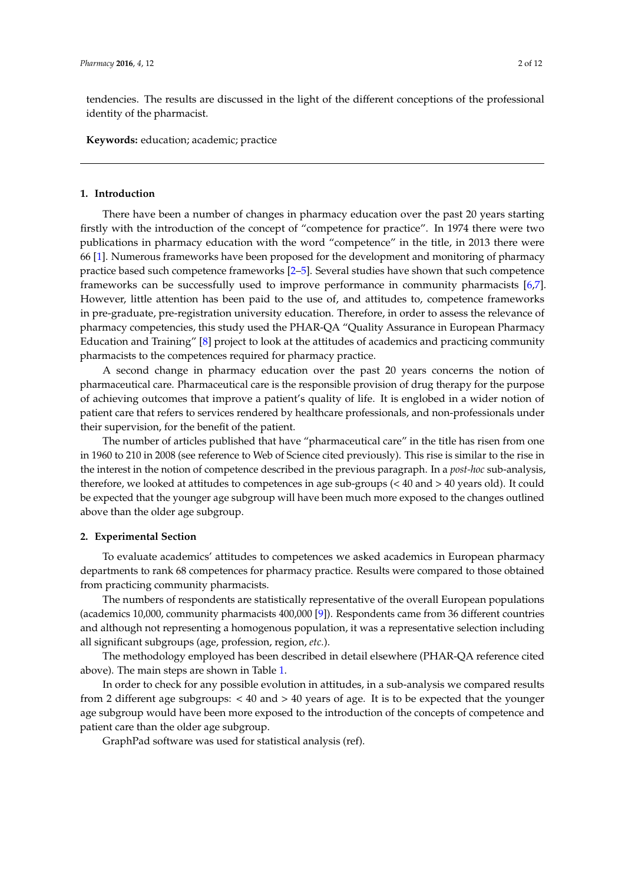tendencies. The results are discussed in the light of the different conceptions of the professional identity of the pharmacist.

**Keywords:** education; academic; practice

## **1. Introduction**

There have been a number of changes in pharmacy education over the past 20 years starting firstly with the introduction of the concept of "competence for practice". In 1974 there were two publications in pharmacy education with the word "competence" in the title, in 2013 there were 66 [\[1\]](#page-11-0). Numerous frameworks have been proposed for the development and monitoring of pharmacy practice based such competence frameworks [\[2–](#page-11-1)[5\]](#page-12-0). Several studies have shown that such competence frameworks can be successfully used to improve performance in community pharmacists [\[6,](#page-12-1)[7\]](#page-12-2). However, little attention has been paid to the use of, and attitudes to, competence frameworks in pre-graduate, pre-registration university education. Therefore, in order to assess the relevance of pharmacy competencies, this study used the PHAR-QA "Quality Assurance in European Pharmacy Education and Training" [\[8\]](#page-12-3) project to look at the attitudes of academics and practicing community pharmacists to the competences required for pharmacy practice.

A second change in pharmacy education over the past 20 years concerns the notion of pharmaceutical care. Pharmaceutical care is the responsible provision of drug therapy for the purpose of achieving outcomes that improve a patient's quality of life. It is englobed in a wider notion of patient care that refers to services rendered by healthcare professionals, and non-professionals under their supervision, for the benefit of the patient.

The number of articles published that have "pharmaceutical care" in the title has risen from one in 1960 to 210 in 2008 (see reference to Web of Science cited previously). This rise is similar to the rise in the interest in the notion of competence described in the previous paragraph. In a *post-hoc* sub-analysis, therefore, we looked at attitudes to competences in age sub-groups (< 40 and > 40 years old). It could be expected that the younger age subgroup will have been much more exposed to the changes outlined above than the older age subgroup.

## **2. Experimental Section**

To evaluate academics' attitudes to competences we asked academics in European pharmacy departments to rank 68 competences for pharmacy practice. Results were compared to those obtained from practicing community pharmacists.

The numbers of respondents are statistically representative of the overall European populations (academics 10,000, community pharmacists 400,000 [\[9\]](#page-12-4)). Respondents came from 36 different countries and although not representing a homogenous population, it was a representative selection including all significant subgroups (age, profession, region, *etc.*).

The methodology employed has been described in detail elsewhere (PHAR-QA reference cited above). The main steps are shown in Table [1.](#page-3-0)

In order to check for any possible evolution in attitudes, in a sub-analysis we compared results from 2 different age subgroups: < 40 and > 40 years of age. It is to be expected that the younger age subgroup would have been more exposed to the introduction of the concepts of competence and patient care than the older age subgroup.

GraphPad software was used for statistical analysis (ref).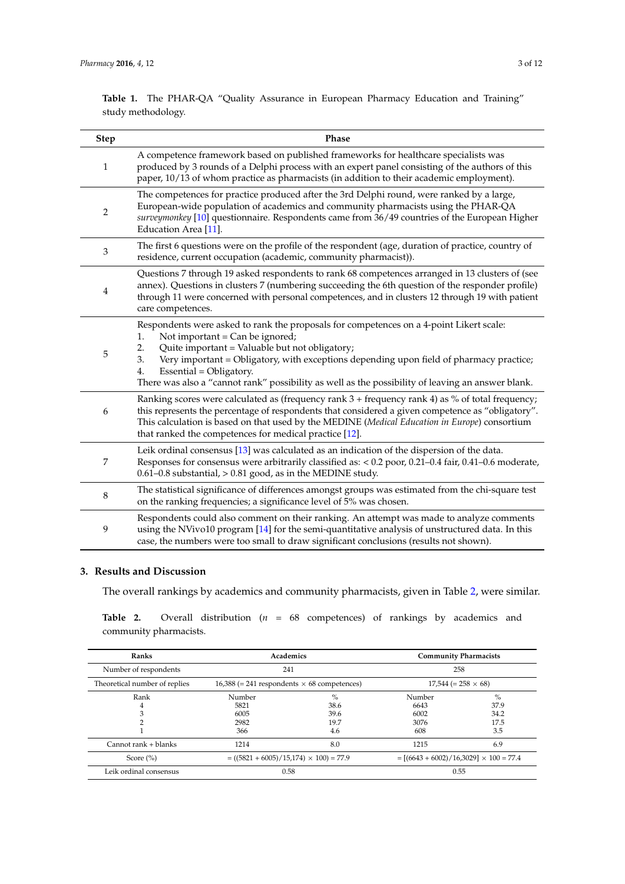<span id="page-3-0"></span>**Table 1.** The PHAR-QA "Quality Assurance in European Pharmacy Education and Training" study methodology.

| <b>Step</b>    | Phase                                                                                                                                                                                                                                                                                                                                                                                                                           |
|----------------|---------------------------------------------------------------------------------------------------------------------------------------------------------------------------------------------------------------------------------------------------------------------------------------------------------------------------------------------------------------------------------------------------------------------------------|
| 1              | A competence framework based on published frameworks for healthcare specialists was<br>produced by 3 rounds of a Delphi process with an expert panel consisting of the authors of this<br>paper, 10/13 of whom practice as pharmacists (in addition to their academic employment).                                                                                                                                              |
| $\overline{c}$ | The competences for practice produced after the 3rd Delphi round, were ranked by a large,<br>European-wide population of academics and community pharmacists using the PHAR-QA<br>surveymonkey [10] questionnaire. Respondents came from 36/49 countries of the European Higher<br>Education Area [11].                                                                                                                         |
| 3              | The first 6 questions were on the profile of the respondent (age, duration of practice, country of<br>residence, current occupation (academic, community pharmacist)).                                                                                                                                                                                                                                                          |
| 4              | Questions 7 through 19 asked respondents to rank 68 competences arranged in 13 clusters of (see<br>annex). Questions in clusters 7 (numbering succeeding the 6th question of the responder profile)<br>through 11 were concerned with personal competences, and in clusters 12 through 19 with patient<br>care competences.                                                                                                     |
| 5              | Respondents were asked to rank the proposals for competences on a 4-point Likert scale:<br>Not important = Can be ignored;<br>1.<br>Quite important = Valuable but not obligatory;<br>2.<br>Very important = Obligatory, with exceptions depending upon field of pharmacy practice;<br>3.<br>4.<br>Essential = Obligatory.<br>There was also a "cannot rank" possibility as well as the possibility of leaving an answer blank. |
| 6              | Ranking scores were calculated as (frequency rank $3 +$ frequency rank $4$ ) as % of total frequency;<br>this represents the percentage of respondents that considered a given competence as "obligatory".<br>This calculation is based on that used by the MEDINE (Medical Education in Europe) consortium<br>that ranked the competences for medical practice [12].                                                           |
| 7              | Leik ordinal consensus [13] was calculated as an indication of the dispersion of the data.<br>Responses for consensus were arbitrarily classified as: < 0.2 poor, 0.21-0.4 fair, 0.41-0.6 moderate,<br>$0.61 - 0.8$ substantial, $> 0.81$ good, as in the MEDINE study.                                                                                                                                                         |
| 8              | The statistical significance of differences amongst groups was estimated from the chi-square test<br>on the ranking frequencies; a significance level of 5% was chosen.                                                                                                                                                                                                                                                         |
| 9              | Respondents could also comment on their ranking. An attempt was made to analyze comments<br>using the NVivo10 program [14] for the semi-quantitative analysis of unstructured data. In this<br>case, the numbers were too small to draw significant conclusions (results not shown).                                                                                                                                            |

## **3. Results and Discussion**

The overall rankings by academics and community pharmacists, given in Table [2,](#page-3-1) were similar.

<span id="page-3-1"></span>**Table 2.** Overall distribution (*n* = 68 competences) of rankings by academics and community pharmacists.

| Ranks                         | Academics                                            |      | <b>Community Pharmacists</b>                 |      |
|-------------------------------|------------------------------------------------------|------|----------------------------------------------|------|
| Number of respondents         | 241                                                  |      | 258                                          |      |
| Theoretical number of replies | $16,388$ (= 241 respondents $\times$ 68 competences) |      | $17,544 (= 258 \times 68)$                   |      |
| Rank                          | Number                                               | $\%$ | Number                                       | $\%$ |
| 4                             | 5821                                                 | 38.6 | 6643                                         | 37.9 |
|                               | 6005                                                 | 39.6 | 6002                                         | 34.2 |
|                               | 2982                                                 | 19.7 | 3076                                         | 17.5 |
|                               | 366                                                  | 4.6  | 608                                          | 3.5  |
| Cannot rank + blanks          | 1214                                                 | 8.0  | 1215                                         | 6.9  |
| Score $(\% )$                 | $= ((5821 + 6005)/15,174) \times 100) = 77.9$        |      | $=[(6643 + 6002)/16,3029] \times 100 = 77.4$ |      |
| Leik ordinal consensus        | 0.58                                                 |      | 0.55                                         |      |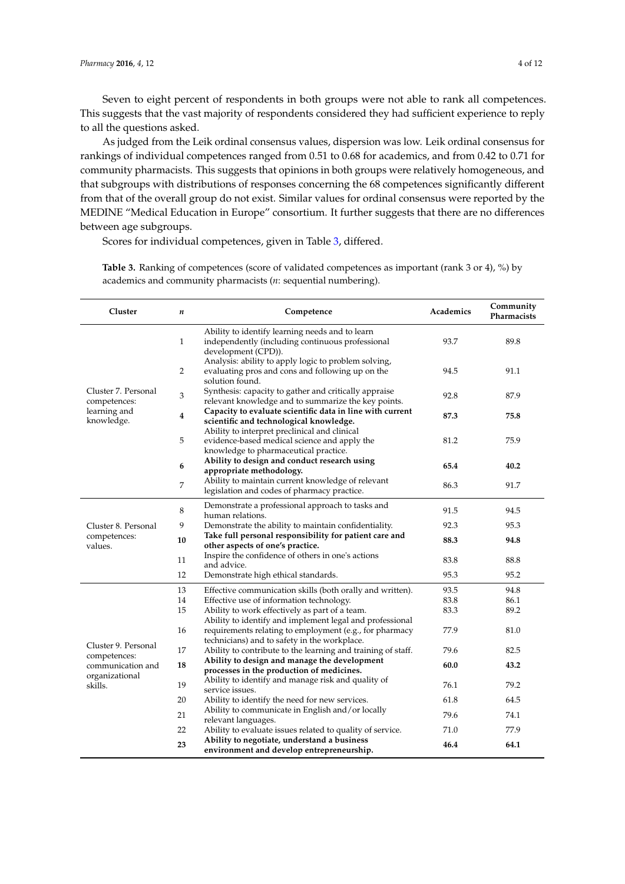Seven to eight percent of respondents in both groups were not able to rank all competences. This suggests that the vast majority of respondents considered they had sufficient experience to reply to all the questions asked.

As judged from the Leik ordinal consensus values, dispersion was low. Leik ordinal consensus for rankings of individual competences ranged from 0.51 to 0.68 for academics, and from 0.42 to 0.71 for community pharmacists. This suggests that opinions in both groups were relatively homogeneous, and that subgroups with distributions of responses concerning the 68 competences significantly different from that of the overall group do not exist. Similar values for ordinal consensus were reported by the MEDINE "Medical Education in Europe" consortium. It further suggests that there are no differences between age subgroups.

Scores for individual competences, given in Table [3,](#page-6-0) differed.

| Cluster                             | n  | Competence                                                                                                                             | Academics | Community<br>Pharmacists |
|-------------------------------------|----|----------------------------------------------------------------------------------------------------------------------------------------|-----------|--------------------------|
|                                     | 1  | Ability to identify learning needs and to learn<br>independently (including continuous professional<br>development (CPD)).             | 93.7      | 89.8                     |
|                                     | 2  | Analysis: ability to apply logic to problem solving,<br>evaluating pros and cons and following up on the<br>solution found.            | 94.5      | 91.1                     |
| Cluster 7. Personal<br>competences: | 3  | Synthesis: capacity to gather and critically appraise<br>relevant knowledge and to summarize the key points.                           | 92.8      | 87.9                     |
| learning and<br>knowledge.          | 4  | Capacity to evaluate scientific data in line with current<br>scientific and technological knowledge.                                   | 87.3      | 75.8                     |
|                                     | 5  | Ability to interpret preclinical and clinical<br>evidence-based medical science and apply the<br>knowledge to pharmaceutical practice. | 81.2      | 75.9                     |
|                                     | 6  | Ability to design and conduct research using<br>appropriate methodology.                                                               | 65.4      | 40.2                     |
|                                     | 7  | Ability to maintain current knowledge of relevant<br>legislation and codes of pharmacy practice.                                       | 86.3      | 91.7                     |
|                                     | 8  | Demonstrate a professional approach to tasks and<br>human relations.                                                                   | 91.5      | 94.5                     |
| Cluster 8. Personal                 | 9  | Demonstrate the ability to maintain confidentiality.                                                                                   | 92.3      | 95.3                     |
| competences:<br>values.             | 10 | Take full personal responsibility for patient care and<br>other aspects of one's practice.                                             | 88.3      | 94.8                     |
|                                     | 11 | Inspire the confidence of others in one's actions<br>and advice.                                                                       | 83.8      | 88.8                     |
|                                     | 12 | Demonstrate high ethical standards.                                                                                                    | 95.3      | 95.2                     |
|                                     | 13 | Effective communication skills (both orally and written).                                                                              | 93.5      | 94.8                     |
|                                     | 14 | Effective use of information technology.                                                                                               | 83.8      | 86.1                     |
|                                     | 15 | Ability to work effectively as part of a team.<br>Ability to identify and implement legal and professional                             | 83.3      | 89.2                     |
|                                     | 16 | requirements relating to employment (e.g., for pharmacy<br>technicians) and to safety in the workplace.                                | 77.9      | 81.0                     |
| Cluster 9. Personal                 | 17 | Ability to contribute to the learning and training of staff.                                                                           | 79.6      | 82.5                     |
| competences:<br>communication and   | 18 | Ability to design and manage the development<br>processes in the production of medicines.                                              | 60.0      | 43.2                     |
| organizational<br>skills.           | 19 | Ability to identify and manage risk and quality of                                                                                     | 76.1      | 79.2                     |
|                                     | 20 | service issues.<br>Ability to identify the need for new services.                                                                      | 61.8      | 64.5                     |
|                                     | 21 | Ability to communicate in English and/or locally                                                                                       | 79.6      | 74.1                     |
|                                     | 22 | relevant languages.<br>Ability to evaluate issues related to quality of service.                                                       | 71.0      | 77.9                     |
|                                     | 23 | Ability to negotiate, understand a business<br>environment and develop entrepreneurship.                                               | 46.4      | 64.1                     |

**Table 3.** Ranking of competences (score of validated competences as important (rank 3 or 4), %) by academics and community pharmacists (*n*: sequential numbering).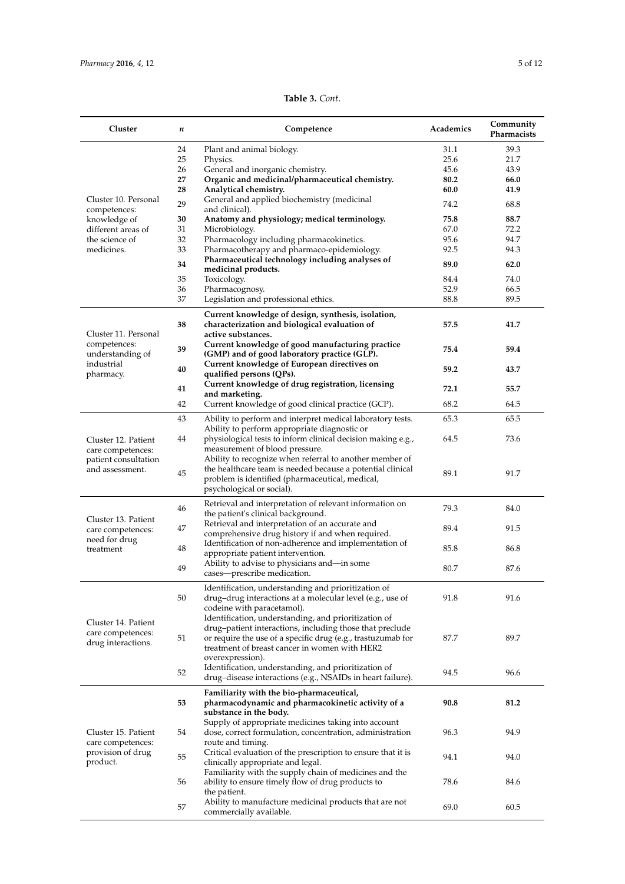| Table 3. Cont. |  |
|----------------|--|
|----------------|--|

| Cluster                                  | n        | Competence                                                                                                       | Academics    | Community<br>Pharmacists |
|------------------------------------------|----------|------------------------------------------------------------------------------------------------------------------|--------------|--------------------------|
|                                          | 24       | Plant and animal biology.                                                                                        | 31.1         | 39.3                     |
|                                          | 25       | Physics.                                                                                                         | 25.6         | 21.7                     |
|                                          | 26       | General and inorganic chemistry.<br>Organic and medicinal/pharmaceutical chemistry.                              | 45.6         | 43.9                     |
|                                          | 27<br>28 | Analytical chemistry.                                                                                            | 80.2<br>60.0 | 66.0<br>41.9             |
| Cluster 10. Personal                     | 29       | General and applied biochemistry (medicinal                                                                      | 74.2         | 68.8                     |
| competences:                             |          | and clinical).                                                                                                   |              |                          |
| knowledge of<br>different areas of       | 30<br>31 | Anatomy and physiology; medical terminology.<br>Microbiology.                                                    | 75.8<br>67.0 | 88.7<br>72.2             |
| the science of                           | 32       | Pharmacology including pharmacokinetics.                                                                         | 95.6         | 94.7                     |
| medicines.                               | 33       | Pharmacotherapy and pharmaco-epidemiology.                                                                       | 92.5         | 94.3                     |
|                                          | 34       | Pharmaceutical technology including analyses of                                                                  | 89.0         | 62.0                     |
|                                          | 35       | medicinal products.<br>Toxicology.                                                                               | 84.4         | 74.0                     |
|                                          | 36       | Pharmacognosy.                                                                                                   | 52.9         | 66.5                     |
|                                          | 37       | Legislation and professional ethics.                                                                             | 88.8         | 89.5                     |
|                                          |          | Current knowledge of design, synthesis, isolation,                                                               |              |                          |
| Cluster 11. Personal                     | 38       | characterization and biological evaluation of<br>active substances.                                              | 57.5         | 41.7                     |
| competences:                             |          | Current knowledge of good manufacturing practice                                                                 |              |                          |
| understanding of                         | 39       | (GMP) and of good laboratory practice (GLP).                                                                     | 75.4         | 59.4                     |
| industrial                               |          | Current knowledge of European directives on                                                                      | 59.2         | 43.7                     |
| pharmacy.                                | 40       | qualified persons (QPs).<br>Current knowledge of drug registration, licensing                                    |              |                          |
|                                          | 41       | and marketing.                                                                                                   | 72.1         | 55.7                     |
|                                          | 42       | Current knowledge of good clinical practice (GCP).                                                               | 68.2         | 64.5                     |
|                                          | 43       | Ability to perform and interpret medical laboratory tests.                                                       | 65.3         | 65.5                     |
|                                          | 44       | Ability to perform appropriate diagnostic or<br>physiological tests to inform clinical decision making e.g.,     | 64.5         | 73.6                     |
| Cluster 12. Patient<br>care competences: |          | measurement of blood pressure.                                                                                   |              |                          |
| patient consultation                     |          | Ability to recognize when referral to another member of                                                          |              |                          |
| and assessment.                          | 45       | the healthcare team is needed because a potential clinical                                                       | 89.1         | 91.7                     |
|                                          |          | problem is identified (pharmaceutical, medical,                                                                  |              |                          |
|                                          |          | psychological or social).                                                                                        |              |                          |
|                                          | 46       | Retrieval and interpretation of relevant information on                                                          | 79.3         | 84.0                     |
| Cluster 13. Patient                      |          | the patient's clinical background.                                                                               |              |                          |
| care competences:                        | 47       | Retrieval and interpretation of an accurate and<br>comprehensive drug history if and when required.              | 89.4         | 91.5                     |
| need for drug                            |          | Identification of non-adherence and implementation of                                                            |              |                          |
| treatment                                | 48       | appropriate patient intervention.                                                                                | 85.8         | 86.8                     |
|                                          | 49       | Ability to advise to physicians and—in some                                                                      | 80.7         | 87.6                     |
|                                          |          | cases-prescribe medication.                                                                                      |              |                          |
|                                          |          | Identification, understanding and prioritization of                                                              |              |                          |
|                                          | 50       | drug-drug interactions at a molecular level (e.g., use of                                                        | 91.8         | 91.6                     |
|                                          |          | codeine with paracetamol).                                                                                       |              |                          |
| Cluster 14. Patient                      |          | Identification, understanding, and prioritization of<br>drug-patient interactions, including those that preclude |              |                          |
| care competences:                        | 51       | or require the use of a specific drug (e.g., trastuzumab for                                                     | 87.7         | 89.7                     |
| drug interactions.                       |          | treatment of breast cancer in women with HER2                                                                    |              |                          |
|                                          |          | overexpression).                                                                                                 |              |                          |
|                                          | 52       | Identification, understanding, and prioritization of                                                             | 94.5         | 96.6                     |
|                                          |          | drug-disease interactions (e.g., NSAIDs in heart failure).                                                       |              |                          |
|                                          |          | Familiarity with the bio-pharmaceutical,                                                                         |              |                          |
|                                          | 53       | pharmacodynamic and pharmacokinetic activity of a                                                                | 90.8         | 81.2                     |
|                                          |          | substance in the body.<br>Supply of appropriate medicines taking into account                                    |              |                          |
| Cluster 15. Patient                      | 54       | dose, correct formulation, concentration, administration                                                         | 96.3         | 94.9                     |
| care competences:                        |          | route and timing.                                                                                                |              |                          |
| provision of drug                        | 55       | Critical evaluation of the prescription to ensure that it is                                                     | 94.1         | 94.0                     |
| product.                                 |          | clinically appropriate and legal.                                                                                |              |                          |
|                                          | 56       | Familiarity with the supply chain of medicines and the<br>ability to ensure timely flow of drug products to      | 78.6         | 84.6                     |
|                                          |          | the patient.                                                                                                     |              |                          |
|                                          | 57       | Ability to manufacture medicinal products that are not                                                           |              |                          |
|                                          |          | commercially available.                                                                                          | 69.0         | 60.5                     |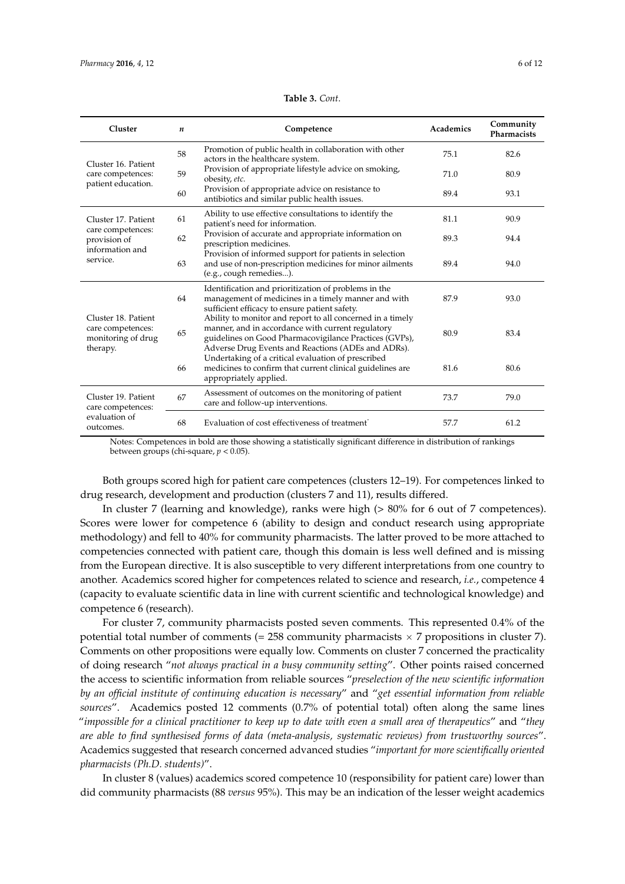<span id="page-6-0"></span>

| Cluster                                                                    | $\boldsymbol{n}$ | Competence                                                                                                                                                                                                                      | <b>Academics</b> | Community<br><b>Pharmacists</b> |
|----------------------------------------------------------------------------|------------------|---------------------------------------------------------------------------------------------------------------------------------------------------------------------------------------------------------------------------------|------------------|---------------------------------|
| Cluster 16. Patient                                                        | 58               | Promotion of public health in collaboration with other<br>actors in the healthcare system.                                                                                                                                      | 75.1             | 82.6                            |
| care competences:                                                          | 59               | Provision of appropriate lifestyle advice on smoking,<br>obesity, etc.                                                                                                                                                          | 71.0             | 80.9                            |
| patient education.                                                         | 60               | Provision of appropriate advice on resistance to<br>antibiotics and similar public health issues.                                                                                                                               | 89.4             | 93.1                            |
| Cluster 17, Patient                                                        | 61               | Ability to use effective consultations to identify the<br>patient's need for information.                                                                                                                                       | 81.1             | 90.9                            |
| care competences:<br>provision of                                          | 62               | Provision of accurate and appropriate information on<br>prescription medicines.                                                                                                                                                 | 89.3             | 94.4                            |
| information and<br>service.                                                | 63               | Provision of informed support for patients in selection<br>and use of non-prescription medicines for minor ailments<br>(e.g., cough remedies).                                                                                  | 89.4             | 94.0                            |
|                                                                            | 64               | Identification and prioritization of problems in the<br>management of medicines in a timely manner and with<br>sufficient efficacy to ensure patient safety.                                                                    | 87.9             | 93.0                            |
| Cluster 18. Patient<br>care competences:<br>monitoring of drug<br>therapy. | 65               | Ability to monitor and report to all concerned in a timely<br>manner, and in accordance with current regulatory<br>guidelines on Good Pharmacovigilance Practices (GVPs),<br>Adverse Drug Events and Reactions (ADEs and ADRs). | 80.9             | 83.4                            |
|                                                                            | 66               | Undertaking of a critical evaluation of prescribed<br>medicines to confirm that current clinical guidelines are<br>appropriately applied.                                                                                       | 81.6             | 80.6                            |
| Cluster 19. Patient<br>care competences:                                   | 67               | Assessment of outcomes on the monitoring of patient<br>care and follow-up interventions.                                                                                                                                        | 73.7             | 79.0                            |
| evaluation of<br>outcomes.                                                 | 68               | Evaluation of cost effectiveness of treatment.                                                                                                                                                                                  | 57.7             | 61.2                            |

### **Table 3.** *Cont*.

Notes: Competences in bold are those showing a statistically significant difference in distribution of rankings between groups (chi-square, *p* < 0.05).

Both groups scored high for patient care competences (clusters 12–19). For competences linked to drug research, development and production (clusters 7 and 11), results differed.

In cluster 7 (learning and knowledge), ranks were high (> 80% for 6 out of 7 competences). Scores were lower for competence 6 (ability to design and conduct research using appropriate methodology) and fell to 40% for community pharmacists. The latter proved to be more attached to competencies connected with patient care, though this domain is less well defined and is missing from the European directive. It is also susceptible to very different interpretations from one country to another. Academics scored higher for competences related to science and research, *i.e.*, competence 4 (capacity to evaluate scientific data in line with current scientific and technological knowledge) and competence 6 (research).

For cluster 7, community pharmacists posted seven comments. This represented 0.4% of the potential total number of comments (= 258 community pharmacists  $\times$  7 propositions in cluster 7). Comments on other propositions were equally low. Comments on cluster 7 concerned the practicality of doing research "*not always practical in a busy community setting*". Other points raised concerned the access to scientific information from reliable sources "*preselection of the new scientific information by an official institute of continuing education is necessary*" and "*get essential information from reliable sources*". Academics posted 12 comments (0.7% of potential total) often along the same lines "*impossible for a clinical practitioner to keep up to date with even a small area of therapeutics*" and "*they are able to find synthesised forms of data (meta-analysis, systematic reviews) from trustworthy sources*". Academics suggested that research concerned advanced studies "*important for more scientifically oriented pharmacists (Ph.D. students)*".

In cluster 8 (values) academics scored competence 10 (responsibility for patient care) lower than did community pharmacists (88 *versus* 95%). This may be an indication of the lesser weight academics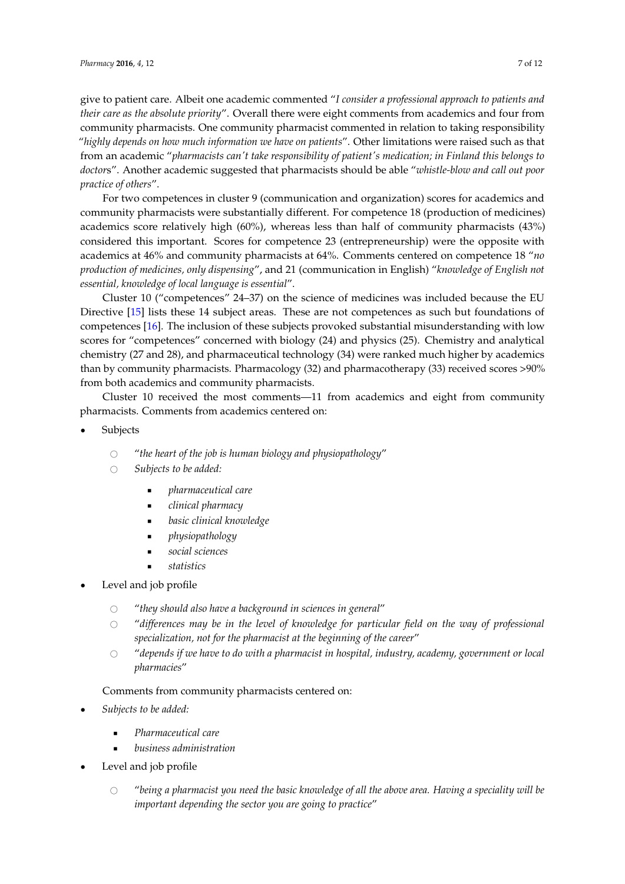give to patient care. Albeit one academic commented "*I consider a professional approach to patients and their care as the absolute priority*". Overall there were eight comments from academics and four from community pharmacists. One community pharmacist commented in relation to taking responsibility "*highly depends on how much information we have on patients*". Other limitations were raised such as that from an academic "*pharmacists can't take responsibility of patient's medication; in Finland this belongs to doctor*s". Another academic suggested that pharmacists should be able "*whistle-blow and call out poor practice of others*".

For two competences in cluster 9 (communication and organization) scores for academics and community pharmacists were substantially different. For competence 18 (production of medicines) academics score relatively high (60%), whereas less than half of community pharmacists (43%) considered this important. Scores for competence 23 (entrepreneurship) were the opposite with academics at 46% and community pharmacists at 64%. Comments centered on competence 18 "*no production of medicines, only dispensing*", and 21 (communication in English) "*knowledge of English not essential, knowledge of local language is essential*".

Cluster 10 ("competences" 24–37) on the science of medicines was included because the EU Directive [\[15\]](#page-12-10) lists these 14 subject areas. These are not competences as such but foundations of competences [\[16\]](#page-12-11). The inclusion of these subjects provoked substantial misunderstanding with low scores for "competences" concerned with biology (24) and physics (25). Chemistry and analytical chemistry (27 and 28), and pharmaceutical technology (34) were ranked much higher by academics than by community pharmacists. Pharmacology (32) and pharmacotherapy (33) received scores >90% from both academics and community pharmacists.

Cluster 10 received the most comments—11 from academics and eight from community pharmacists. Comments from academics centered on:

- **Subjects** 
	- $\circ$  "the heart of the job is human biology and physiopathology"<br> $\circ$  Subiects to be added:
	- Subjects to be added:
		- ' *pharmaceutical care*
		- ' *clinical pharmacy*
		- ' *basic clinical knowledge*
		- ' *physiopathology*
		- ' *social sciences*
		- ' *statistics*
- Level and job profile
	- $\circ$  "they should also have a background in sciences in general"<br> $\circ$  "differences may be in the level of knowledge for particu
	- # "*differences may be in the level of knowledge for particular field on the way of professional specialization, not for the pharmacist at the beginning of the career*"
	- $\circ$  "depends if we have to do with a pharmacist in hospital, industry, academy, government or local *pharmacies*"

## Comments from community pharmacists centered on:

- ' *Subjects to be added:*
	- ' *Pharmaceutical care*
	- ' *business administration*
- Level and job profile
	- # "*being a pharmacist you need the basic knowledge of all the above area. Having a speciality will be important depending the sector you are going to practice*"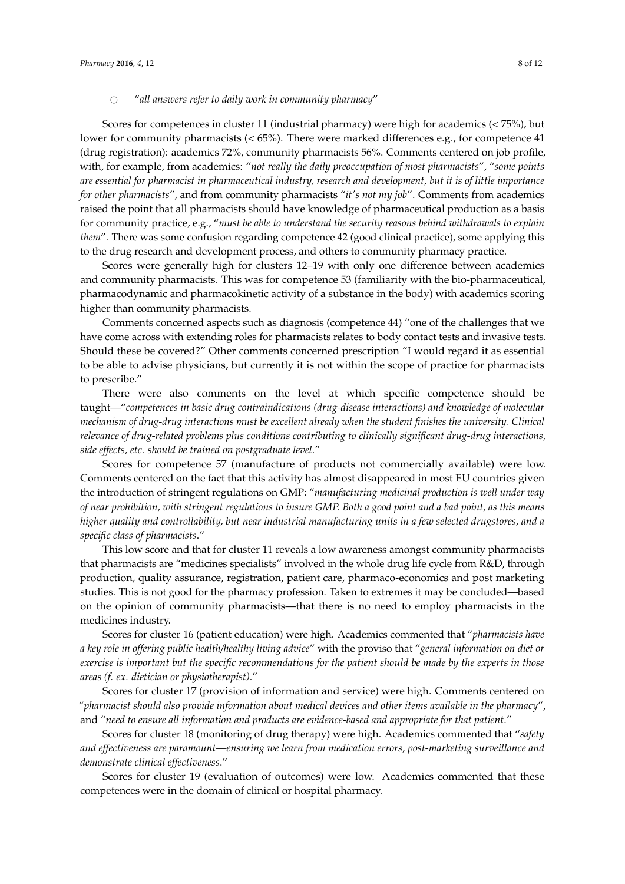## $\circ$  "all answers refer to daily work in community pharmacy"

Scores for competences in cluster 11 (industrial pharmacy) were high for academics (< 75%), but lower for community pharmacists ( $<$  65%). There were marked differences e.g., for competence 41 (drug registration): academics 72%, community pharmacists 56%. Comments centered on job profile, with, for example, from academics: "*not really the daily preoccupation of most pharmacists*", "*some points are essential for pharmacist in pharmaceutical industry, research and development, but it is of little importance for other pharmacists*", and from community pharmacists "*it's not my job*". Comments from academics raised the point that all pharmacists should have knowledge of pharmaceutical production as a basis for community practice, e.g., "*must be able to understand the security reasons behind withdrawals to explain them*". There was some confusion regarding competence 42 (good clinical practice), some applying this to the drug research and development process, and others to community pharmacy practice.

Scores were generally high for clusters 12–19 with only one difference between academics and community pharmacists. This was for competence 53 (familiarity with the bio-pharmaceutical, pharmacodynamic and pharmacokinetic activity of a substance in the body) with academics scoring higher than community pharmacists.

Comments concerned aspects such as diagnosis (competence 44) "one of the challenges that we have come across with extending roles for pharmacists relates to body contact tests and invasive tests. Should these be covered?" Other comments concerned prescription "I would regard it as essential to be able to advise physicians, but currently it is not within the scope of practice for pharmacists to prescribe."

There were also comments on the level at which specific competence should be taught—"*competences in basic drug contraindications (drug-disease interactions) and knowledge of molecular mechanism of drug-drug interactions must be excellent already when the student finishes the university. Clinical relevance of drug-related problems plus conditions contributing to clinically significant drug-drug interactions, side effects, etc. should be trained on postgraduate level*."

Scores for competence 57 (manufacture of products not commercially available) were low. Comments centered on the fact that this activity has almost disappeared in most EU countries given the introduction of stringent regulations on GMP: "*manufacturing medicinal production is well under way of near prohibition, with stringent regulations to insure GMP. Both a good point and a bad point, as this means higher quality and controllability, but near industrial manufacturing units in a few selected drugstores, and a specific class of pharmacists*."

This low score and that for cluster 11 reveals a low awareness amongst community pharmacists that pharmacists are "medicines specialists" involved in the whole drug life cycle from R&D, through production, quality assurance, registration, patient care, pharmaco-economics and post marketing studies. This is not good for the pharmacy profession*.* Taken to extremes it may be concluded—based on the opinion of community pharmacists—that there is no need to employ pharmacists in the medicines industry.

Scores for cluster 16 (patient education) were high. Academics commented that "*pharmacists have a key role in offering public health/healthy living advice*" with the proviso that "*general information on diet or exercise is important but the specific recommendations for the patient should be made by the experts in those areas (f. ex. dietician or physiotherapist)*."

Scores for cluster 17 (provision of information and service) were high. Comments centered on "*pharmacist should also provide information about medical devices and other items available in the pharmacy*", and "*need to ensure all information and products are evidence-based and appropriate for that patient*."

Scores for cluster 18 (monitoring of drug therapy) were high. Academics commented that "*safety and effectiveness are paramount—ensuring we learn from medication errors, post-marketing surveillance and demonstrate clinical effectiveness*."

Scores for cluster 19 (evaluation of outcomes) were low. Academics commented that these competences were in the domain of clinical or hospital pharmacy.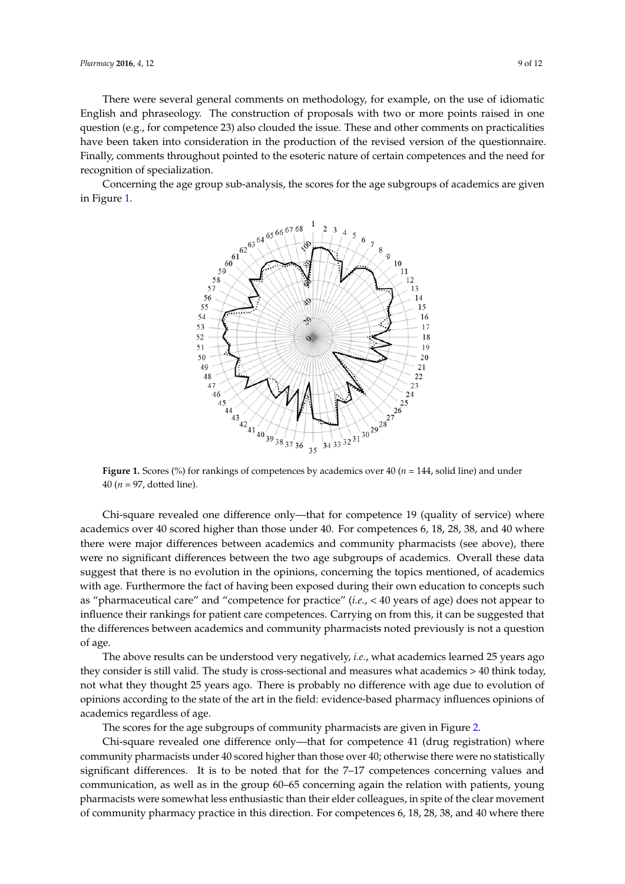There were several general comments on methodology, for example, on the use of idiomatic There were several general comments on methodology, for example, on the use of idiomatic English and phraseology. The construction of proposals with two or more points raised in one English and phraseology. The construction of proposals with two or more points raised in one question (e.g., for competence 23) also clouded the issue. These and other comments on practicalities question (e.g., for competence 23) also clouded the issue. These and other comments on practicalities have been taken into consideration in the production of the revised version of the questionnaire. have been taken into consideration in the production of the revised version of the questionnaire. Finally, comments throughout pointed to the esoteric nature of certain competences and the need for Finally, comments throughout pointed to the esoteric nature of certain competences and the need for recognition of specialization. recognition of specialization.

<span id="page-9-0"></span>Concerning the age group sub-analysis, the scores for the age subgroups of academics are given Concerning the age group sub-analysis, the scores for the age subgroups of academics are given in Figure [1.](#page-9-0) in Figure 1.



**Figure 1.** Scores (%) for rankings of competences by academics over 40 ( $n = 144$ , solid line) and under 40 (*n* = 97, dotted line). 40 (*n* = 97, dotted line).

Chi-square revealed one difference only—that for competence 19 (quality of service) where Chi-square revealed one difference only—that for competence 19 (quality of service) where academics over 40 scored higher than those under 40. For competences 6, 18, 28, 38, and 40 where academics over 40 scored higher than those under 40. For competences 6, 18, 28, 38, and 40 where there were major differences between academics and community pharmacists (see above), there were there were major differences between academics and community pharmacists (see above), there mere were major americies between academics and community prairmates (see above), alore were no significant differences between the two age subgroups of academics. Overall these data the the opinion in the opinion is no evolution in the opinion of academics. Overall these can suggest that there is no evolution in the opinions, concerning the topics mentioned, of academics with age. Furthermore the fact of having been exposed during their own education to concepts such as "pharmaceutical care" and "competence for practice" (*i.e.*, < 40 years of age) does not appear to influence their rankings for patient care competences. Carrying on from this, it can be suggested that the differences between academics and community pharmacists noted previously is not a question they consider is still valid. The still valid  $\alpha$  is cross-sectional and measures what academics  $\alpha$ of age.

The above results can be understood very negatively, *i.e.*, what academics learned 25 years ago they consider is still valid. The study is cross-sectional and measures what academics  $> 40$  think today, not what they thought 25 years ago. There is probably no difference with age due to evolution of opinions according to the state of the art in the field: evidence-based pharmacy influences opinions of academics regardless of age.  $\overline{a}$  (drug registration) where  $\overline{a}$  (defined as  $\overline{a}$  and  $\overline{a}$ ) where  $\overline{a}$  and  $\overline{a}$  and  $\overline{a}$  and  $\overline{a}$  and  $\overline{a}$  and  $\overline{a}$  and  $\overline{a}$  and  $\overline{a}$  and  $\overline$ 

The scores for the age subgroups of community pharmacists are given in Figure [2.](#page-10-0)

Chi-square revealed one difference only—that for competence 41 (drug registration) where community pharmacists under 40 scored higher than those over 40; otherwise there were no statistically significant differences. It is to be noted that for the 7–17 competences concerning values and communication, as well as in the group 60–65 concerning again the relation with patients, young pharmacists were somewhat less enthusiastic than their elder colleagues, in spite of the clear movement of community pharmacy practice in this direction. For competences 6, 18, 28, 38, and 40 where there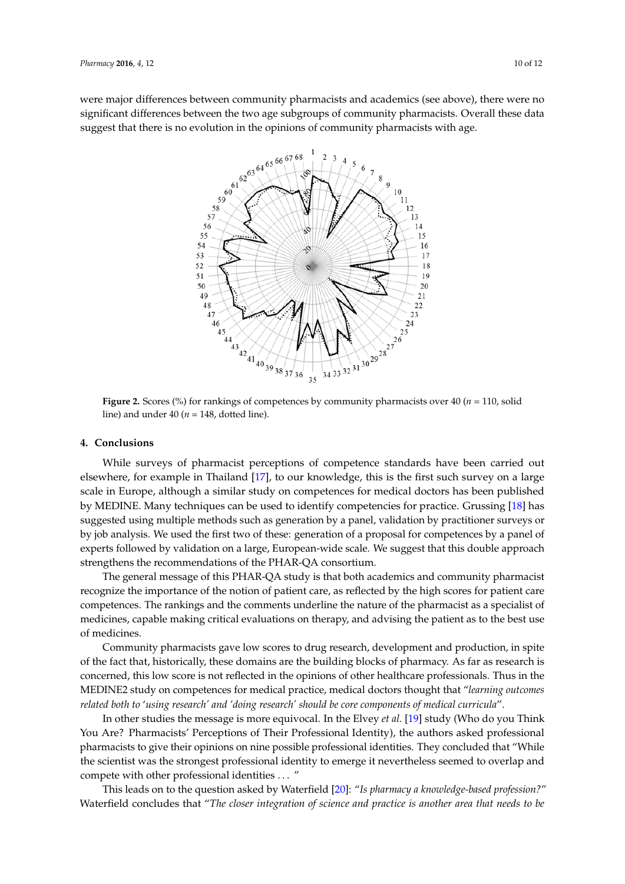<span id="page-10-0"></span>were major differences between community pharmacists and academics (see above), there were no significant differences between the two age subgroups of community pharmacists. Overall these data significant differences between the two age subgroups of community pharmacists. Overall these data suggest that there is no evolution in the opinions of community pharmacists with age. suggest that there is no evolution in the opinions of community pharmacists with age.



**Figure 2.** Scores (%) for rankings of competences by community pharmacists over 40 (*n* = 110, **Figure 2.** Scores (%) for rankings of competences by community pharmacists over 40 (*n* = 110, solid line) and under  $40 (n = 148, \text{dotted line}).$ 

# **4. Conclusions 4. Conclusions**

While surveys of pharmacist perceptions of competence standards have been carried out elsewhere, for example in Thailand [\[17\]](#page-12-12), to our knowledge, this is the first such survey on a large scale in Europe, although a similar study on competences for medical doctors has been published by MEDINE. Many techniques can be used to identify competencies for practice. Grussing [\[18\]](#page-12-13) has suggested using multiple methods such as generation by a panel, validation by practitioner surveys or by job analysis. We used the first two of these: generation of a proposal for competences by a panel of experts followed by validation on a large, European-wide scale. We suggest that this double approach strengthens the recommendations of the PHAR-QA consortium. strengthens the recommendations of the PHAR-QA consortium.

The general message of this PHAR-QA study is that both academics and community pharmacist The general message of this PHAR-QA study is that both academics and community pharmacist recognize the importance of the notion of patient care, as reflected by the high scores for patient care recognize the importance of the notion of patient care, as reflected by the high scores for patient care competences. The rankings and the comments underline the nature of the pharmacist as a specialist competences. The rankings and the comments underline the nature of the pharmacist as a specialist of medicines, capable making critical evaluations on therapy, and advising the patient as to the best use of medicines.

Community pharmacists gave low scores to drug research, development and production, in Community pharmacists gave low scores to drug research, development and production, in spite of the fact that, historically, these domains are the building blocks of pharmacy. As far as research is concerned, this low score is not reflected in the opinions of other healthcare professionals. Thus in the MEDINE2 study on competences for medical practice, medical doctors thought that "learning outcomes related both to 'using research' and 'doing research' should be core components of medical curricula".

In other studies the message is more equivocal. In the Elvey *et al.* [\[19\]](#page-12-14) study (Who do you Think You Are? Pharmacists' Perceptions of Their Professional Identity), the authors asked professional pharmacists to give their opinions on nine possible professional identities. They concluded that "While the scientist was the strongest professional identity to emerge it nevertheless seemed to overlap and compete with other professional identities . . . "

This leads on to the question asked by Waterfield [\[20\]](#page-12-15): "Is pharmacy a knowledge-based profession?" Waterfield concludes that "*The closer integration of science and practice is another area that needs to be* Waterfield concludes that "*The closer integration of science and practice is another area that needs to be*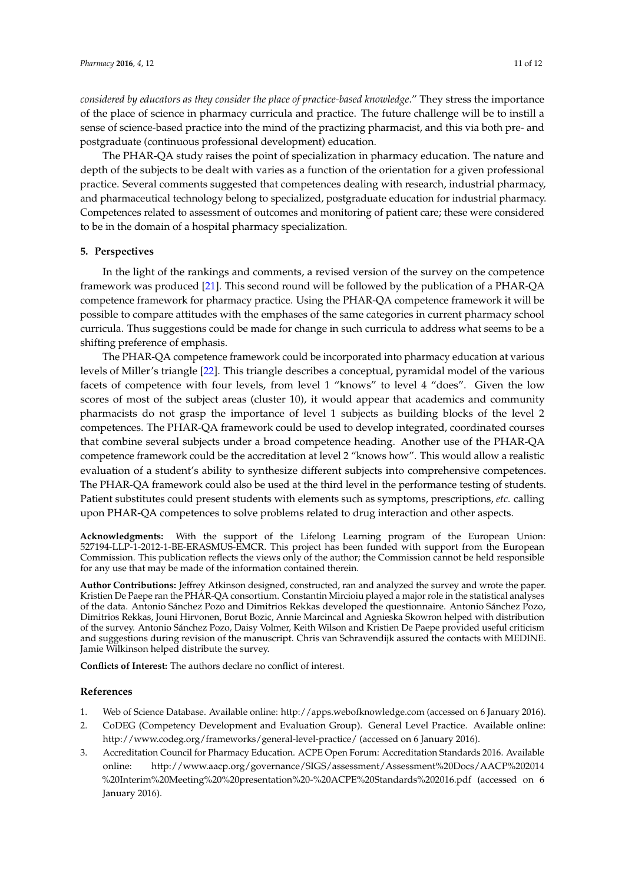*considered by educators as they consider the place of practice-based knowledge*." They stress the importance of the place of science in pharmacy curricula and practice. The future challenge will be to instill a sense of science-based practice into the mind of the practizing pharmacist, and this via both pre- and postgraduate (continuous professional development) education.

The PHAR-QA study raises the point of specialization in pharmacy education. The nature and depth of the subjects to be dealt with varies as a function of the orientation for a given professional practice. Several comments suggested that competences dealing with research, industrial pharmacy, and pharmaceutical technology belong to specialized, postgraduate education for industrial pharmacy. Competences related to assessment of outcomes and monitoring of patient care; these were considered to be in the domain of a hospital pharmacy specialization.

## **5. Perspectives**

In the light of the rankings and comments, a revised version of the survey on the competence framework was produced [\[21\]](#page-12-16). This second round will be followed by the publication of a PHAR-QA competence framework for pharmacy practice. Using the PHAR-QA competence framework it will be possible to compare attitudes with the emphases of the same categories in current pharmacy school curricula. Thus suggestions could be made for change in such curricula to address what seems to be a shifting preference of emphasis.

The PHAR-QA competence framework could be incorporated into pharmacy education at various levels of Miller's triangle [\[22\]](#page-12-17). This triangle describes a conceptual, pyramidal model of the various facets of competence with four levels, from level 1 "knows" to level 4 "does". Given the low scores of most of the subject areas (cluster 10), it would appear that academics and community pharmacists do not grasp the importance of level 1 subjects as building blocks of the level 2 competences. The PHAR-QA framework could be used to develop integrated, coordinated courses that combine several subjects under a broad competence heading. Another use of the PHAR-QA competence framework could be the accreditation at level 2 "knows how". This would allow a realistic evaluation of a student's ability to synthesize different subjects into comprehensive competences. The PHAR-QA framework could also be used at the third level in the performance testing of students. Patient substitutes could present students with elements such as symptoms, prescriptions, *etc.* calling upon PHAR-QA competences to solve problems related to drug interaction and other aspects.

**Acknowledgments:** With the support of the Lifelong Learning program of the European Union: 527194-LLP-1-2012-1-BE-ERASMUS-EMCR. This project has been funded with support from the European Commission. This publication reflects the views only of the author; the Commission cannot be held responsible for any use that may be made of the information contained therein.

**Author Contributions:** Jeffrey Atkinson designed, constructed, ran and analyzed the survey and wrote the paper. Kristien De Paepe ran the PHAR-QA consortium. Constantin Mircioiu played a major role in the statistical analyses of the data. Antonio Sánchez Pozo and Dimitrios Rekkas developed the questionnaire. Antonio Sánchez Pozo, Dimitrios Rekkas, Jouni Hirvonen, Borut Bozic, Annie Marcincal and Agnieska Skowron helped with distribution of the survey. Antonio Sánchez Pozo, Daisy Volmer, Keith Wilson and Kristien De Paepe provided useful criticism and suggestions during revision of the manuscript. Chris van Schravendijk assured the contacts with MEDINE. Jamie Wilkinson helped distribute the survey.

**Conflicts of Interest:** The authors declare no conflict of interest.

#### **References**

- <span id="page-11-1"></span><span id="page-11-0"></span>1. Web of Science Database. Available online: http://apps.webofknowledge.com (accessed on 6 January 2016).
- 2. CoDEG (Competency Development and Evaluation Group). General Level Practice. Available online: http://www.codeg.org/frameworks/general-level-practice/ (accessed on 6 January 2016).
- 3. Accreditation Council for Pharmacy Education. ACPE Open Forum: Accreditation Standards 2016. Available online: http://www.aacp.org/governance/SIGS/assessment/Assessment%20Docs/AACP%202014 %20Interim%20Meeting%20%20presentation%20-%20ACPE%20Standards%202016.pdf (accessed on 6 January 2016).